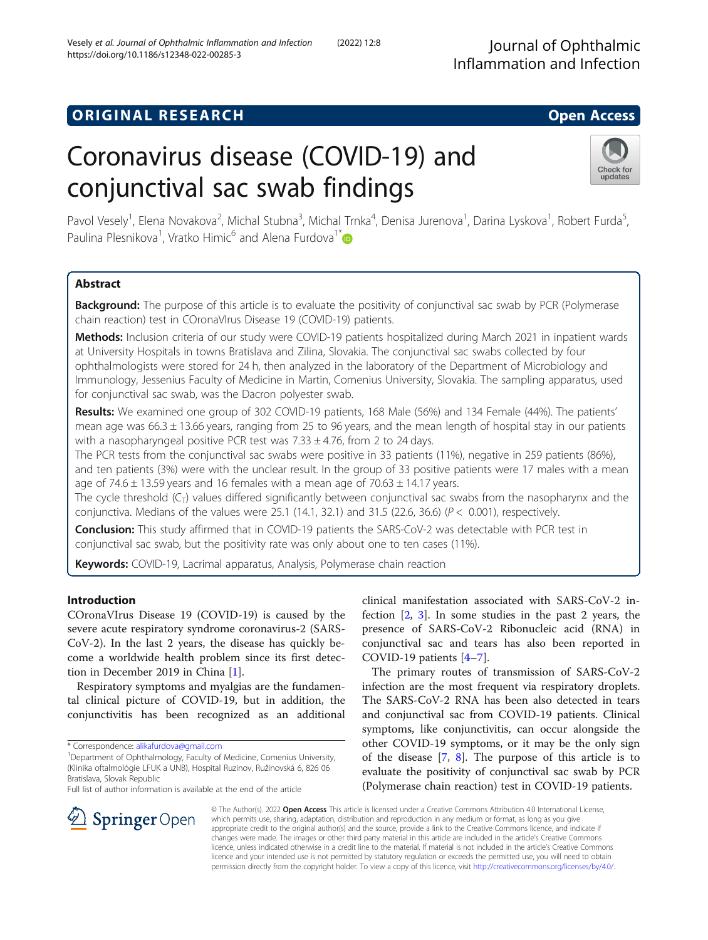# **ORIGINAL RESEARCH CONSERVERS AND ACCESS**

# Coronavirus disease (COVID-19) and conjunctival sac swab findings

Pavol Vesely<sup>1</sup>, Elena Novakova<sup>2</sup>, Michal Stubna<sup>3</sup>, Michal Trnka<sup>4</sup>, Denisa Jurenova<sup>1</sup>, Darina Lyskova<sup>1</sup>, Robert Furda<sup>5</sup> , Paulina Plesnikova<sup>1</sup>, Vratko Himic<sup>6</sup> and Alena Furdova<sup>1\*</sup>

# Abstract

**Background:** The purpose of this article is to evaluate the positivity of conjunctival sac swab by PCR (Polymerase chain reaction) test in COronaVIrus Disease 19 (COVID-19) patients.

Methods: Inclusion criteria of our study were COVID-19 patients hospitalized during March 2021 in inpatient wards at University Hospitals in towns Bratislava and Zilina, Slovakia. The conjunctival sac swabs collected by four ophthalmologists were stored for 24 h, then analyzed in the laboratory of the Department of Microbiology and Immunology, Jessenius Faculty of Medicine in Martin, Comenius University, Slovakia. The sampling apparatus, used for conjunctival sac swab, was the Dacron polyester swab.

Results: We examined one group of 302 COVID-19 patients, 168 Male (56%) and 134 Female (44%). The patients' mean age was 66.3 ± 13.66 years, ranging from 25 to 96 years, and the mean length of hospital stay in our patients with a nasopharyngeal positive PCR test was  $7.33 \pm 4.76$ , from 2 to 24 days.

The PCR tests from the conjunctival sac swabs were positive in 33 patients (11%), negative in 259 patients (86%), and ten patients (3%) were with the unclear result. In the group of 33 positive patients were 17 males with a mean age of  $74.6 \pm 13.59$  years and 16 females with a mean age of  $70.63 \pm 14.17$  years.

The cycle threshold  $(C_T)$  values differed significantly between conjunctival sac swabs from the nasopharynx and the conjunctiva. Medians of the values were 25.1 (14.1, 32.1) and 31.5 (22.6, 36.6) ( $P < 0.001$ ), respectively.

**Conclusion:** This study affirmed that in COVID-19 patients the SARS-CoV-2 was detectable with PCR test in conjunctival sac swab, but the positivity rate was only about one to ten cases (11%).

Keywords: COVID-19, Lacrimal apparatus, Analysis, Polymerase chain reaction

# Introduction

COronaVIrus Disease 19 (COVID-19) is caused by the severe acute respiratory syndrome coronavirus-2 (SARS-CoV-2). In the last 2 years, the disease has quickly become a worldwide health problem since its first detection in December 2019 in China [\[1](#page-4-0)].

Respiratory symptoms and myalgias are the fundamental clinical picture of COVID-19, but in addition, the conjunctivitis has been recognized as an additional

\* Correspondence: [alikafurdova@gmail.com](mailto:alikafurdova@gmail.com) <sup>1</sup>

<sup>1</sup>Department of Ophthalmology, Faculty of Medicine, Comenius University, (Klinika oftalmológie LFUK a UNB), Hospital Ruzinov, Ružinovská 6, 826 06 Bratislava, Slovak Republic

Full list of author information is available at the end of the article

clinical manifestation associated with SARS-CoV-2 infection [\[2](#page-4-0), [3\]](#page-4-0). In some studies in the past 2 years, the presence of SARS-CoV-2 Ribonucleic acid (RNA) in conjunctival sac and tears has also been reported in COVID-19 patients [[4](#page-4-0)–[7\]](#page-4-0).

The primary routes of transmission of SARS-CoV-2 infection are the most frequent via respiratory droplets. The SARS-CoV-2 RNA has been also detected in tears and conjunctival sac from COVID-19 patients. Clinical symptoms, like conjunctivitis, can occur alongside the other COVID-19 symptoms, or it may be the only sign of the disease [[7](#page-4-0), [8](#page-4-0)]. The purpose of this article is to evaluate the positivity of conjunctival sac swab by PCR (Polymerase chain reaction) test in COVID-19 patients.

© The Author(s). 2022 Open Access This article is licensed under a Creative Commons Attribution 4.0 International License, which permits use, sharing, adaptation, distribution and reproduction in any medium or format, as long as you give appropriate credit to the original author(s) and the source, provide a link to the Creative Commons licence, and indicate if changes were made. The images or other third party material in this article are included in the article's Creative Commons licence, unless indicated otherwise in a credit line to the material. If material is not included in the article's Creative Commons licence and your intended use is not permitted by statutory regulation or exceeds the permitted use, you will need to obtain permission directly from the copyright holder. To view a copy of this licence, visit <http://creativecommons.org/licenses/by/4.0/>.



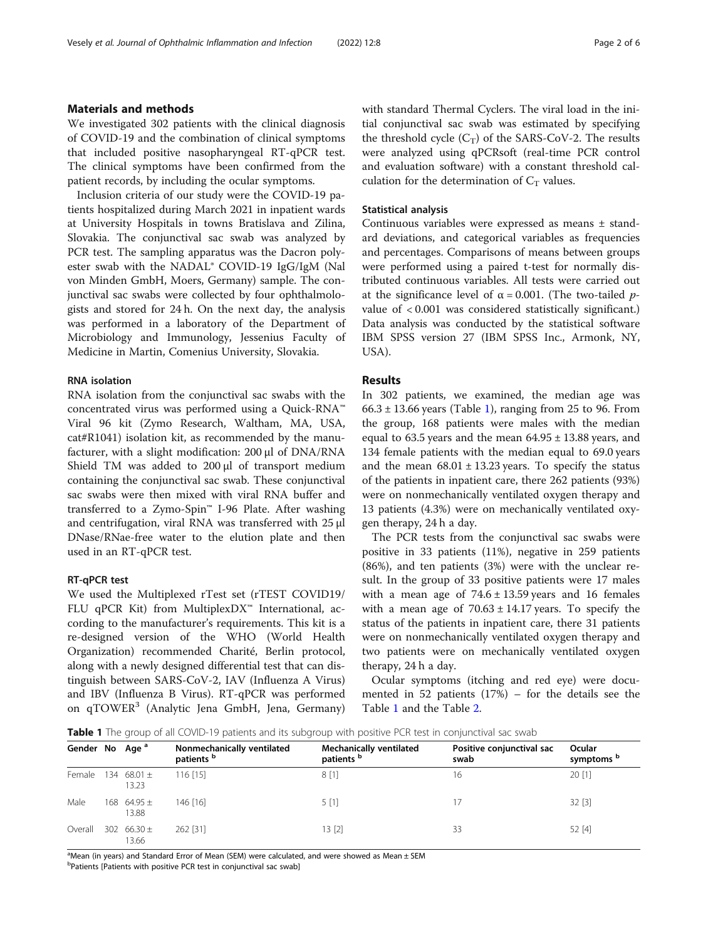## Materials and methods

We investigated 302 patients with the clinical diagnosis of COVID-19 and the combination of clinical symptoms that included positive nasopharyngeal RT-qPCR test. The clinical symptoms have been confirmed from the patient records, by including the ocular symptoms.

Inclusion criteria of our study were the COVID-19 patients hospitalized during March 2021 in inpatient wards at University Hospitals in towns Bratislava and Zilina, Slovakia. The conjunctival sac swab was analyzed by PCR test. The sampling apparatus was the Dacron polyester swab with the NADAL® COVID-19 IgG/IgM (Nal von Minden GmbH, Moers, Germany) sample. The conjunctival sac swabs were collected by four ophthalmologists and stored for 24 h. On the next day, the analysis was performed in a laboratory of the Department of Microbiology and Immunology, Jessenius Faculty of Medicine in Martin, Comenius University, Slovakia.

## RNA isolation

RNA isolation from the conjunctival sac swabs with the concentrated virus was performed using a Quick-RNA™ Viral 96 kit (Zymo Research, Waltham, MA, USA, cat#R1041) isolation kit, as recommended by the manufacturer, with a slight modification: 200 μl of DNA/RNA Shield TM was added to 200 μl of transport medium containing the conjunctival sac swab. These conjunctival sac swabs were then mixed with viral RNA buffer and transferred to a Zymo-Spin™ I-96 Plate. After washing and centrifugation, viral RNA was transferred with 25 μl DNase/RNae-free water to the elution plate and then used in an RT-qPCR test.

## RT-qPCR test

We used the Multiplexed rTest set (rTEST COVID19/ FLU qPCR Kit) from MultiplexDX™ International, according to the manufacturer's requirements. This kit is a re-designed version of the WHO (World Health Organization) recommended Charité, Berlin protocol, along with a newly designed differential test that can distinguish between SARS-CoV-2, IAV (Influenza A Virus) and IBV (Influenza B Virus). RT-qPCR was performed on qTOWER<sup>3</sup> (Analytic Jena GmbH, Jena, Germany) with standard Thermal Cyclers. The viral load in the initial conjunctival sac swab was estimated by specifying the threshold cycle  $(C_T)$  of the SARS-CoV-2. The results were analyzed using qPCRsoft (real-time PCR control and evaluation software) with a constant threshold calculation for the determination of  $C_T$  values.

## Statistical analysis

Continuous variables were expressed as means ± standard deviations, and categorical variables as frequencies and percentages. Comparisons of means between groups were performed using a paired t-test for normally distributed continuous variables. All tests were carried out at the significance level of  $\alpha = 0.001$ . (The two-tailed pvalue of < 0.001 was considered statistically significant.) Data analysis was conducted by the statistical software IBM SPSS version 27 (IBM SPSS Inc., Armonk, NY, USA).

# Results

In 302 patients, we examined, the median age was  $66.3 \pm 13.66$  years (Table 1), ranging from 25 to 96. From the group, 168 patients were males with the median equal to 63.5 years and the mean  $64.95 \pm 13.88$  years, and 134 female patients with the median equal to 69.0 years and the mean  $68.01 \pm 13.23$  years. To specify the status of the patients in inpatient care, there 262 patients (93%) were on nonmechanically ventilated oxygen therapy and 13 patients (4.3%) were on mechanically ventilated oxygen therapy, 24 h a day.

The PCR tests from the conjunctival sac swabs were positive in 33 patients (11%), negative in 259 patients (86%), and ten patients (3%) were with the unclear result. In the group of 33 positive patients were 17 males with a mean age of  $74.6 \pm 13.59$  years and 16 females with a mean age of  $70.63 \pm 14.17$  years. To specify the status of the patients in inpatient care, there 31 patients were on nonmechanically ventilated oxygen therapy and two patients were on mechanically ventilated oxygen therapy, 24 h a day.

Ocular symptoms (itching and red eye) were documented in 52 patients  $(17%)$  – for the details see the Table 1 and the Table [2](#page-2-0).

Table 1 The group of all COVID-19 patients and its subgroup with positive PCR test in conjunctival sac swab

| Gender No Age <sup>a</sup> |                          | Nonmechanically ventilated<br>patients <sup>b</sup> | <b>Mechanically ventilated</b><br>patients <sup>b</sup> | Positive conjunctival sac<br>swab | Ocular<br>symptoms <sup>b</sup> |
|----------------------------|--------------------------|-----------------------------------------------------|---------------------------------------------------------|-----------------------------------|---------------------------------|
| Female                     | 134 68.01 $\pm$<br>13.23 | $116$ [15]                                          | 8[1]                                                    | 16                                | 20[1]                           |
| Male                       | 168 64.95 $\pm$<br>13.88 | 146 [16]                                            | 5[1]                                                    |                                   | 32[3]                           |
| Overall                    | 302 $66.30 \pm$<br>13.66 | 262 [31]                                            | 13 [2]                                                  | 33                                | 52 [4]                          |

<sup>a</sup>Mean (in years) and Standard Error of Mean (SEM) were calculated, and were showed as Mean ± SEM

<sup>b</sup>Patients [Patients with positive PCR test in conjunctival sac swab]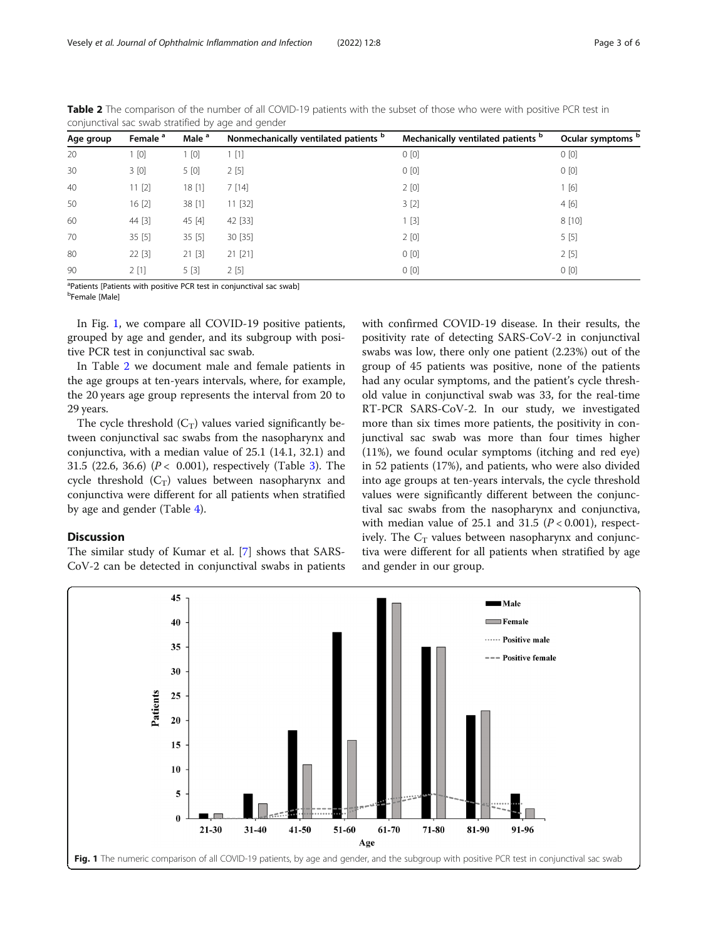| Age group | Female <sup>a</sup> | Male <sup>a</sup> | Nonmechanically ventilated patients b | Mechanically ventilated patients b | Ocular symptoms b |
|-----------|---------------------|-------------------|---------------------------------------|------------------------------------|-------------------|
| 20        | [0]                 | 1 [0]             | 1[1]                                  | 0[0]                               | 0[0]              |
| 30        | 3[0]                | 5 [0]             | 2[5]                                  | 0[0]                               | 0[0]              |
| 40        | 11[2]               | 18[1]             | 7[14]                                 | 2[0]                               | [6]               |
| 50        | 16[2]               | 38 [1]            | 11 [32]                               | 3[2]                               | 4[6]              |
| 60        | 44 [3]              | 45 [4]            | 42 [33]                               | 1[3]                               | 8[10]             |
| 70        | 35[5]               | 35[5]             | 30 [35]                               | 2[0]                               | 5[5]              |
| 80        | 22 [3]              | 21 [3]            | 21 [21]                               | 0[0]                               | 2[5]              |
| 90        | 2[1]                | 5[3]              | 2[5]                                  | 0[0]                               | 0[0]              |

<span id="page-2-0"></span>Table 2 The comparison of the number of all COVID-19 patients with the subset of those who were with positive PCR test in conjunctival sac swab stratified by age and gender

<sup>a</sup>Patients [Patients with positive PCR test in conjunctival sac swab]

<sup>b</sup>Female [Male]

In Fig. 1, we compare all COVID-19 positive patients, grouped by age and gender, and its subgroup with positive PCR test in conjunctival sac swab.

In Table 2 we document male and female patients in the age groups at ten-years intervals, where, for example, the 20 years age group represents the interval from 20 to 29 years.

The cycle threshold  $(C_T)$  values varied significantly between conjunctival sac swabs from the nasopharynx and conjunctiva, with a median value of 25.1 (14.1, 32.1) and [3](#page-3-0)1.5 (22.6, 36.6) ( $P < 0.001$ ), respectively (Table 3). The cycle threshold  $(C_T)$  values between nasopharynx and conjunctiva were different for all patients when stratified by age and gender (Table [4](#page-3-0)).

# Discussion

The similar study of Kumar et al. [\[7\]](#page-4-0) shows that SARS-CoV-2 can be detected in conjunctival swabs in patients with confirmed COVID-19 disease. In their results, the positivity rate of detecting SARS-CoV-2 in conjunctival swabs was low, there only one patient (2.23%) out of the group of 45 patients was positive, none of the patients had any ocular symptoms, and the patient's cycle threshold value in conjunctival swab was 33, for the real-time RT-PCR SARS-CoV-2. In our study, we investigated more than six times more patients, the positivity in conjunctival sac swab was more than four times higher (11%), we found ocular symptoms (itching and red eye) in 52 patients (17%), and patients, who were also divided into age groups at ten-years intervals, the cycle threshold values were significantly different between the conjunctival sac swabs from the nasopharynx and conjunctiva, with median value of 25.1 and 31.5 ( $P < 0.001$ ), respectively. The  $C_T$  values between nasopharynx and conjunctiva were different for all patients when stratified by age and gender in our group.

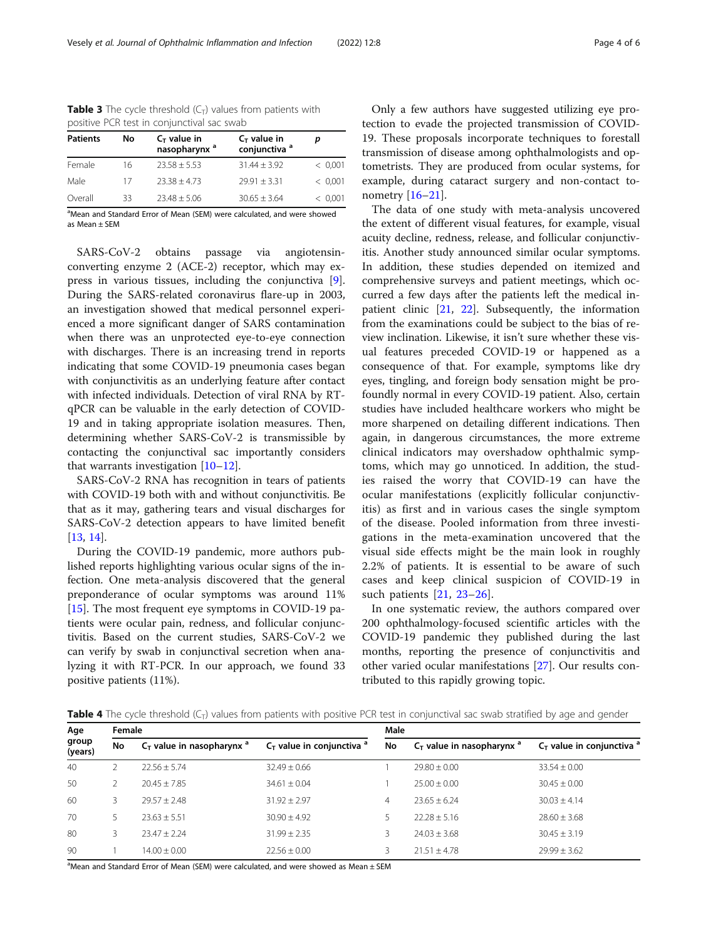| <b>Patients</b> | No | $C_T$ value in<br>nasopharynx <sup>a</sup> | $C_T$ value in<br>conjunctiva <sup>a</sup> |         |
|-----------------|----|--------------------------------------------|--------------------------------------------|---------|
| Female          | 16 | $23.58 \pm 5.53$                           | $31.44 \pm 3.92$                           | < 0.001 |
| Male            | 17 | $23.38 + 4.73$                             | $79.91 + 3.31$                             | < 0.001 |
| Overall         | 33 | $23.48 + 5.06$                             | $30.65 + 3.64$                             | < 0.001 |

<span id="page-3-0"></span>**Table 3** The cycle threshold  $(C_T)$  values from patients with positive PCR test in conjunctival sac swab

<sup>a</sup>Mean and Standard Error of Mean (SEM) were calculated, and were showed as Mean ± SEM

SARS-CoV-2 obtains passage via angiotensinconverting enzyme 2 (ACE-2) receptor, which may express in various tissues, including the conjunctiva [\[9](#page-4-0)]. During the SARS-related coronavirus flare-up in 2003, an investigation showed that medical personnel experienced a more significant danger of SARS contamination when there was an unprotected eye-to-eye connection with discharges. There is an increasing trend in reports indicating that some COVID-19 pneumonia cases began with conjunctivitis as an underlying feature after contact with infected individuals. Detection of viral RNA by RTqPCR can be valuable in the early detection of COVID-19 and in taking appropriate isolation measures. Then, determining whether SARS-CoV-2 is transmissible by contacting the conjunctival sac importantly considers that warrants investigation  $[10-12]$  $[10-12]$  $[10-12]$  $[10-12]$  $[10-12]$ .

SARS-CoV-2 RNA has recognition in tears of patients with COVID-19 both with and without conjunctivitis. Be that as it may, gathering tears and visual discharges for SARS-CoV-2 detection appears to have limited benefit [[13,](#page-4-0) [14\]](#page-4-0).

During the COVID-19 pandemic, more authors published reports highlighting various ocular signs of the infection. One meta-analysis discovered that the general preponderance of ocular symptoms was around 11% [[15\]](#page-4-0). The most frequent eye symptoms in COVID-19 patients were ocular pain, redness, and follicular conjunctivitis. Based on the current studies, SARS-CoV-2 we can verify by swab in conjunctival secretion when analyzing it with RT-PCR. In our approach, we found 33 positive patients (11%).

Only a few authors have suggested utilizing eye protection to evade the projected transmission of COVID-19. These proposals incorporate techniques to forestall transmission of disease among ophthalmologists and optometrists. They are produced from ocular systems, for example, during cataract surgery and non-contact tonometry [\[16](#page-4-0)–[21\]](#page-5-0).

The data of one study with meta-analysis uncovered the extent of different visual features, for example, visual acuity decline, redness, release, and follicular conjunctivitis. Another study announced similar ocular symptoms. In addition, these studies depended on itemized and comprehensive surveys and patient meetings, which occurred a few days after the patients left the medical inpatient clinic [\[21,](#page-5-0) [22\]](#page-5-0). Subsequently, the information from the examinations could be subject to the bias of review inclination. Likewise, it isn't sure whether these visual features preceded COVID-19 or happened as a consequence of that. For example, symptoms like dry eyes, tingling, and foreign body sensation might be profoundly normal in every COVID-19 patient. Also, certain studies have included healthcare workers who might be more sharpened on detailing different indications. Then again, in dangerous circumstances, the more extreme clinical indicators may overshadow ophthalmic symptoms, which may go unnoticed. In addition, the studies raised the worry that COVID-19 can have the ocular manifestations (explicitly follicular conjunctivitis) as first and in various cases the single symptom of the disease. Pooled information from three investigations in the meta-examination uncovered that the visual side effects might be the main look in roughly 2.2% of patients. It is essential to be aware of such cases and keep clinical suspicion of COVID-19 in such patients [[21,](#page-5-0) [23](#page-5-0)–[26](#page-5-0)].

In one systematic review, the authors compared over 200 ophthalmology-focused scientific articles with the COVID-19 pandemic they published during the last months, reporting the presence of conjunctivitis and other varied ocular manifestations [[27\]](#page-5-0). Our results contributed to this rapidly growing topic.

**Table 4** The cycle threshold  $(C_T)$  values from patients with positive PCR test in conjunctival sac swab stratified by age and gender

| Age<br>group<br>(years) | Female |                                |                                | Male |                                |                                 |  |
|-------------------------|--------|--------------------------------|--------------------------------|------|--------------------------------|---------------------------------|--|
|                         | No     | $C_T$ value in nasopharynx $a$ | $C_T$ value in conjunctiva $a$ | No   | $C_T$ value in nasopharynx $a$ | $C_T$ value in conjunctiva $^a$ |  |
| 40                      |        | $22.56 \pm 5.74$               | $32.49 \pm 0.66$               |      | $29.80 \pm 0.00$               | $33.54 \pm 0.00$                |  |
| 50                      |        | $20.45 + 7.85$                 | $34.61 \pm 0.04$               |      | $25.00 \pm 0.00$               | $30.45 \pm 0.00$                |  |
| 60                      | 3      | $79.57 + 7.48$                 | $31.92 \pm 2.97$               | 4    | $23.65 + 6.24$                 | $30.03 \pm 4.14$                |  |
| 70                      |        | $23.63 + 5.51$                 | $30.90 \pm 4.92$               | 5    | $22.28 + 5.16$                 | $28.60 \pm 3.68$                |  |
| 80                      | 3      | $73.47 + 7.24$                 | $31.99 \pm 2.35$               | 3    | $24.03 \pm 3.68$               | $30.45 \pm 3.19$                |  |
| 90                      |        | $14.00 + 0.00$                 | $22.56 \pm 0.00$               | 3.   | $21.51 + 4.78$                 | $29.99 \pm 3.62$                |  |

 $^{\text{a}}$ Mean and Standard Error of Mean (SEM) were calculated, and were showed as Mean  $\pm$  SEM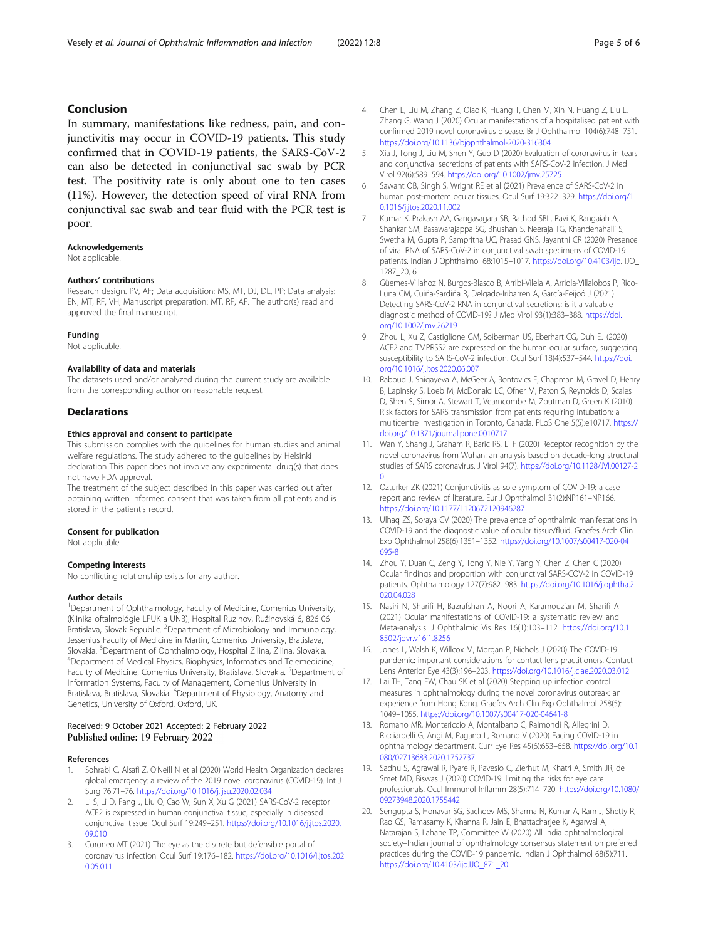# <span id="page-4-0"></span>Conclusion

In summary, manifestations like redness, pain, and conjunctivitis may occur in COVID-19 patients. This study confirmed that in COVID-19 patients, the SARS-CoV-2 can also be detected in conjunctival sac swab by PCR test. The positivity rate is only about one to ten cases (11%). However, the detection speed of viral RNA from conjunctival sac swab and tear fluid with the PCR test is poor.

#### Acknowledgements

Not applicable.

#### Authors' contributions

Research design. PV, AF; Data acquisition: MS, MT, DJ, DL, PP; Data analysis: EN, MT, RF, VH; Manuscript preparation: MT, RF, AF. The author(s) read and approved the final manuscript.

#### Funding

Not applicable.

#### Availability of data and materials

The datasets used and/or analyzed during the current study are available from the corresponding author on reasonable request.

#### **Declarations**

#### Ethics approval and consent to participate

This submission complies with the guidelines for human studies and animal welfare regulations. The study adhered to the guidelines by Helsinki declaration This paper does not involve any experimental drug(s) that does not have FDA approval.

The treatment of the subject described in this paper was carried out after obtaining written informed consent that was taken from all patients and is stored in the patient's record.

#### Consent for publication

Not applicable.

#### Competing interests

No conflicting relationship exists for any author.

#### Author details

<sup>1</sup>Department of Ophthalmology, Faculty of Medicine, Comenius University, (Klinika oftalmológie LFUK a UNB), Hospital Ruzinov, Ružinovská 6, 826 06 Bratislava, Slovak Republic. <sup>2</sup>Department of Microbiology and Immunology, Jessenius Faculty of Medicine in Martin, Comenius University, Bratislava, Slovakia. <sup>3</sup>Department of Ophthalmology, Hospital Zilina, Zilina, Slovakia.<br><sup>4</sup>Department of Medical Physics, Biophysics, Informatics and Telemodicis <sup>4</sup>Department of Medical Physics, Biophysics, Informatics and Telemedicine, Faculty of Medicine, Comenius University, Bratislava, Slovakia. <sup>5</sup>Department of Information Systems, Faculty of Management, Comenius University in Bratislava, Bratislava, Slovakia. <sup>6</sup>Department of Physiology, Anatomy and Genetics, University of Oxford, Oxford, UK.

#### Received: 9 October 2021 Accepted: 2 February 2022 Published online: 19 February 2022

#### References

- Sohrabi C, Alsafi Z, O'Neill N et al (2020) World Health Organization declares global emergency: a review of the 2019 novel coronavirus (COVID-19). Int J Surg 76:71–76. <https://doi.org/10.1016/j.ijsu.2020.02.034>
- 2. Li S, Li D, Fang J, Liu Q, Cao W, Sun X, Xu G (2021) SARS-CoV-2 receptor ACE2 is expressed in human conjunctival tissue, especially in diseased conjunctival tissue. Ocul Surf 19:249–251. [https://doi.org/10.1016/j.jtos.2020.](https://doi.org/10.1016/j.jtos.2020.09.010) [09.010](https://doi.org/10.1016/j.jtos.2020.09.010)
- 3. Coroneo MT (2021) The eye as the discrete but defensible portal of coronavirus infection. Ocul Surf 19:176–182. [https://doi.org/10.1016/j.jtos.202](https://doi.org/10.1016/j.jtos.2020.05.011) [0.05.011](https://doi.org/10.1016/j.jtos.2020.05.011)
- 4. Chen L, Liu M, Zhang Z, Qiao K, Huang T, Chen M, Xin N, Huang Z, Liu L, Zhang G, Wang J (2020) Ocular manifestations of a hospitalised patient with confirmed 2019 novel coronavirus disease. Br J Ophthalmol 104(6):748–751. <https://doi.org/10.1136/bjophthalmol-2020-316304>
- Xia J, Tong J, Liu M, Shen Y, Guo D (2020) Evaluation of coronavirus in tears and conjunctival secretions of patients with SARS-CoV-2 infection. J Med Virol 92(6):589–594. <https://doi.org/10.1002/jmv.25725>
- 6. Sawant OB, Singh S, Wright RE et al (2021) Prevalence of SARS-CoV-2 in human post-mortem ocular tissues. Ocul Surf 19:322–329. [https://doi.org/1](https://doi.org/10.1016/j.jtos.2020.11.002) [0.1016/j.jtos.2020.11.002](https://doi.org/10.1016/j.jtos.2020.11.002)
- 7. Kumar K, Prakash AA, Gangasagara SB, Rathod SBL, Ravi K, Rangaiah A, Shankar SM, Basawarajappa SG, Bhushan S, Neeraja TG, Khandenahalli S, Swetha M, Gupta P, Sampritha UC, Prasad GNS, Jayanthi CR (2020) Presence of viral RNA of SARS-CoV-2 in conjunctival swab specimens of COVID-19 patients. Indian J Ophthalmol 68:1015–1017. <https://doi.org/10.4103/ijo>. IJO\_ 1287\_20, 6
- 8. Güemes-Villahoz N, Burgos-Blasco B, Arribi-Vilela A, Arriola-Villalobos P, Rico-Luna CM, Cuiña-Sardiña R, Delgado-Iribarren A, García-Feijoó J (2021) Detecting SARS-CoV-2 RNA in conjunctival secretions: is it a valuable diagnostic method of COVID-19? J Med Virol 93(1):383–388. [https://doi.](https://doi.org/10.1002/jmv.26219) [org/10.1002/jmv.26219](https://doi.org/10.1002/jmv.26219)
- 9. Zhou L, Xu Z, Castiglione GM, Soiberman US, Eberhart CG, Duh EJ (2020) ACE2 and TMPRSS2 are expressed on the human ocular surface, suggesting susceptibility to SARS-CoV-2 infection. Ocul Surf 18(4):537–544. [https://doi.](https://doi.org/10.1016/j.jtos.2020.06.007) [org/10.1016/j.jtos.2020.06.007](https://doi.org/10.1016/j.jtos.2020.06.007)
- 10. Raboud J, Shigayeva A, McGeer A, Bontovics E, Chapman M, Gravel D, Henry B, Lapinsky S, Loeb M, McDonald LC, Ofner M, Paton S, Reynolds D, Scales D, Shen S, Simor A, Stewart T, Vearncombe M, Zoutman D, Green K (2010) Risk factors for SARS transmission from patients requiring intubation: a multicentre investigation in Toronto, Canada. PLoS One 5(5):e10717. [https://](https://doi.org/10.1371/journal.pone.0010717) [doi.org/10.1371/journal.pone.0010717](https://doi.org/10.1371/journal.pone.0010717)
- 11. Wan Y, Shang J, Graham R, Baric RS, Li F (2020) Receptor recognition by the novel coronavirus from Wuhan: an analysis based on decade-long structural studies of SARS coronavirus. J Virol 94(7). [https://doi.org/10.1128/JVI.00127-2](https://doi.org/10.1128/JVI.00127-20) [0](https://doi.org/10.1128/JVI.00127-20)
- 12. Ozturker ZK (2021) Conjunctivitis as sole symptom of COVID-19: a case report and review of literature. Eur J Ophthalmol 31(2):NP161–NP166. <https://doi.org/10.1177/1120672120946287>
- 13. Ulhaq ZS, Soraya GV (2020) The prevalence of ophthalmic manifestations in COVID-19 and the diagnostic value of ocular tissue/fluid. Graefes Arch Clin Exp Ophthalmol 258(6):1351–1352. [https://doi.org/10.1007/s00417-020-04](https://doi.org/10.1007/s00417-020-04695-8) [695-8](https://doi.org/10.1007/s00417-020-04695-8)
- 14. Zhou Y, Duan C, Zeng Y, Tong Y, Nie Y, Yang Y, Chen Z, Chen C (2020) Ocular findings and proportion with conjunctival SARS-COV-2 in COVID-19 patients. Ophthalmology 127(7):982–983. [https://doi.org/10.1016/j.ophtha.2](https://doi.org/10.1016/j.ophtha.2020.04.028) [020.04.028](https://doi.org/10.1016/j.ophtha.2020.04.028)
- 15. Nasiri N, Sharifi H, Bazrafshan A, Noori A, Karamouzian M, Sharifi A (2021) Ocular manifestations of COVID-19: a systematic review and Meta-analysis. J Ophthalmic Vis Res 16(1):103–112. [https://doi.org/10.1](https://doi.org/10.18502/jovr.v16i1.8256) [8502/jovr.v16i1.8256](https://doi.org/10.18502/jovr.v16i1.8256)
- 16. Jones L, Walsh K, Willcox M, Morgan P, Nichols J (2020) The COVID-19 pandemic: important considerations for contact lens practitioners. Contact Lens Anterior Eye 43(3):196–203. <https://doi.org/10.1016/j.clae.2020.03.012>
- 17. Lai TH, Tang EW, Chau SK et al (2020) Stepping up infection control measures in ophthalmology during the novel coronavirus outbreak: an experience from Hong Kong. Graefes Arch Clin Exp Ophthalmol 258(5): 1049–1055. <https://doi.org/10.1007/s00417-020-04641-8>
- 18. Romano MR, Montericcio A, Montalbano C, Raimondi R, Allegrini D, Ricciardelli G, Angi M, Pagano L, Romano V (2020) Facing COVID-19 in ophthalmology department. Curr Eye Res 45(6):653–658. [https://doi.org/10.1](https://doi.org/10.1080/02713683.2020.1752737) [080/02713683.2020.1752737](https://doi.org/10.1080/02713683.2020.1752737)
- 19. Sadhu S, Agrawal R, Pyare R, Pavesio C, Zierhut M, Khatri A, Smith JR, de Smet MD, Biswas J (2020) COVID-19: limiting the risks for eye care professionals. Ocul Immunol Inflamm 28(5):714–720. [https://doi.org/10.1080/](https://doi.org/10.1080/09273948.2020.1755442) [09273948.2020.1755442](https://doi.org/10.1080/09273948.2020.1755442)
- 20. Sengupta S, Honavar SG, Sachdev MS, Sharma N, Kumar A, Ram J, Shetty R, Rao GS, Ramasamy K, Khanna R, Jain E, Bhattacharjee K, Agarwal A, Natarajan S, Lahane TP, Committee W (2020) All India ophthalmological society–Indian journal of ophthalmology consensus statement on preferred practices during the COVID-19 pandemic. Indian J Ophthalmol 68(5):711. [https://doi.org/10.4103/ijo.IJO\\_871\\_20](https://doi.org/10.4103/ijo.IJO_871_20)